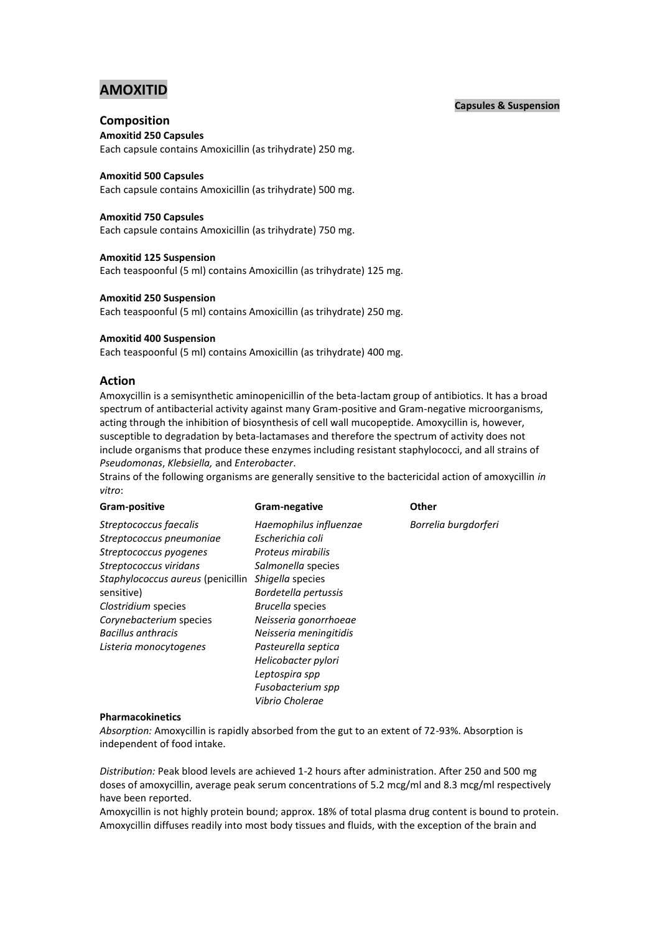# **AMOXITID**

### **Capsules & Suspension**

# **Composition**

**Amoxitid 250 Capsules**

Each capsule contains Amoxicillin (as trihydrate) 250 mg.

### **Amoxitid 500 Capsules**

Each capsule contains Amoxicillin (as trihydrate) 500 mg.

### **Amoxitid 750 Capsules**

Each capsule contains Amoxicillin (as trihydrate) 750 mg.

#### **Amoxitid 125 Suspension**

Each teaspoonful (5 ml) contains Amoxicillin (as trihydrate) 125 mg.

### **Amoxitid 250 Suspension**

Each teaspoonful (5 ml) contains Amoxicillin (as trihydrate) 250 mg.

### **Amoxitid 400 Suspension**

Each teaspoonful (5 ml) contains Amoxicillin (as trihydrate) 400 mg.

### **Action**

Amoxycillin is a semisynthetic aminopenicillin of the beta-lactam group of antibiotics. It has a broad spectrum of antibacterial activity against many Gram-positive and Gram-negative microorganisms, acting through the inhibition of biosynthesis of cell wall mucopeptide. Amoxycillin is, however, susceptible to degradation by beta-lactamases and therefore the spectrum of activity does not include organisms that produce these enzymes including resistant staphylococci, and all strains of *Pseudomonas*, *Klebsiella,* and *Enterobacter*.

Strains of the following organisms are generally sensitive to the bactericidal action of amoxycillin *in vitro*:

| Gram-positive                     | Gram-negative          | <b>Other</b>         |
|-----------------------------------|------------------------|----------------------|
| Streptococcus faecalis            | Haemophilus influenzae | Borrelia burgdorferi |
| Streptococcus pneumoniae          | Escherichia coli       |                      |
| Streptococcus pyogenes            | Proteus mirabilis      |                      |
| Streptococcus viridans            | Salmonella species     |                      |
| Staphylococcus aureus (penicillin | Shigella species       |                      |
| sensitive)                        | Bordetella pertussis   |                      |
| Clostridium species               | Brucella species       |                      |
| Corynebacterium species           | Neisseria gonorrhoeae  |                      |
| <b>Bacillus anthracis</b>         | Neisseria meningitidis |                      |
| Listeria monocytogenes            | Pasteurella septica    |                      |
|                                   | Helicobacter pylori    |                      |
|                                   | Leptospira spp         |                      |
|                                   | Fusobacterium spp      |                      |
|                                   | Vibrio Cholerae        |                      |

#### **Pharmacokinetics**

*Absorption:* Amoxycillin is rapidly absorbed from the gut to an extent of 72-93%. Absorption is independent of food intake.

*Distribution:* Peak blood levels are achieved 1-2 hours after administration. After 250 and 500 mg doses of amoxycillin, average peak serum concentrations of 5.2 mcg/ml and 8.3 mcg/ml respectively have been reported.

Amoxycillin is not highly protein bound; approx. 18% of total plasma drug content is bound to protein. Amoxycillin diffuses readily into most body tissues and fluids, with the exception of the brain and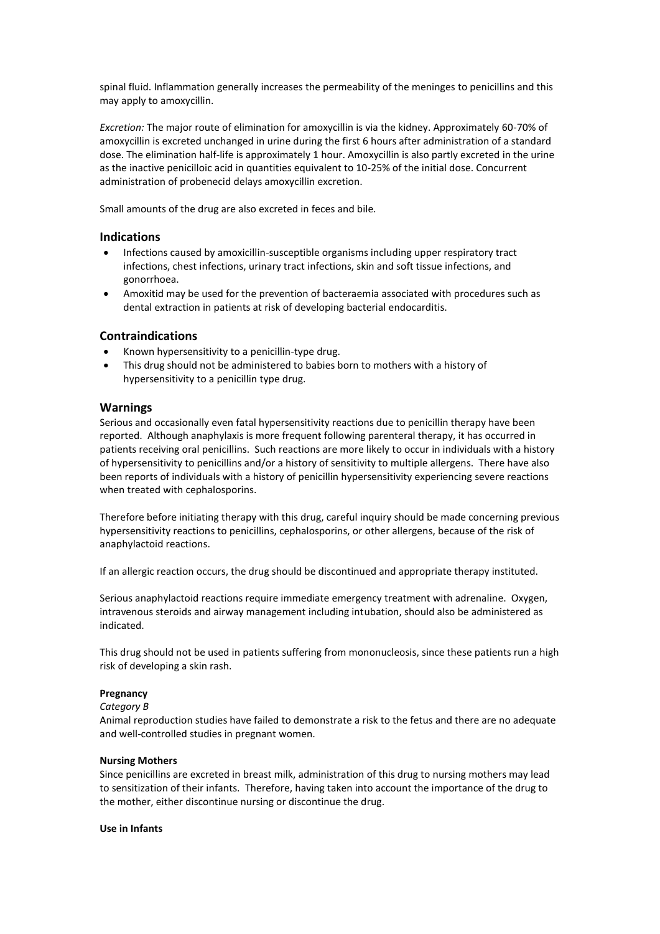spinal fluid. Inflammation generally increases the permeability of the meninges to penicillins and this may apply to amoxycillin.

*Excretion:* The major route of elimination for amoxycillin is via the kidney. Approximately 60-70% of amoxycillin is excreted unchanged in urine during the first 6 hours after administration of a standard dose. The elimination half-life is approximately 1 hour. Amoxycillin is also partly excreted in the urine as the inactive penicilloic acid in quantities equivalent to 10-25% of the initial dose. Concurrent administration of probenecid delays amoxycillin excretion.

Small amounts of the drug are also excreted in feces and bile.

# **Indications**

- Infections caused by amoxicillin-susceptible organisms including upper respiratory tract infections, chest infections, urinary tract infections, skin and soft tissue infections, and gonorrhoea.
- Amoxitid may be used for the prevention of bacteraemia associated with procedures such as dental extraction in patients at risk of developing bacterial endocarditis.

### **Contraindications**

- Known hypersensitivity to a penicillin-type drug.
- This drug should not be administered to babies born to mothers with a history of hypersensitivity to a penicillin type drug.

#### **Warnings**

Serious and occasionally even fatal hypersensitivity reactions due to penicillin therapy have been reported. Although anaphylaxis is more frequent following parenteral therapy, it has occurred in patients receiving oral penicillins. Such reactions are more likely to occur in individuals with a history of hypersensitivity to penicillins and/or a history of sensitivity to multiple allergens. There have also been reports of individuals with a history of penicillin hypersensitivity experiencing severe reactions when treated with cephalosporins.

Therefore before initiating therapy with this drug, careful inquiry should be made concerning previous hypersensitivity reactions to penicillins, cephalosporins, or other allergens, because of the risk of anaphylactoid reactions.

If an allergic reaction occurs, the drug should be discontinued and appropriate therapy instituted.

Serious anaphylactoid reactions require immediate emergency treatment with adrenaline. Oxygen, intravenous steroids and airway management including intubation, should also be administered as indicated.

This drug should not be used in patients suffering from mononucleosis, since these patients run a high risk of developing a skin rash.

#### **Pregnancy**

#### *Category B*

Animal reproduction studies have failed to demonstrate a risk to the fetus and there are no adequate and well-controlled studies in pregnant women.

#### **Nursing Mothers**

Since penicillins are excreted in breast milk, administration of this drug to nursing mothers may lead to sensitization of their infants. Therefore, having taken into account the importance of the drug to the mother, either discontinue nursing or discontinue the drug.

#### **Use in Infants**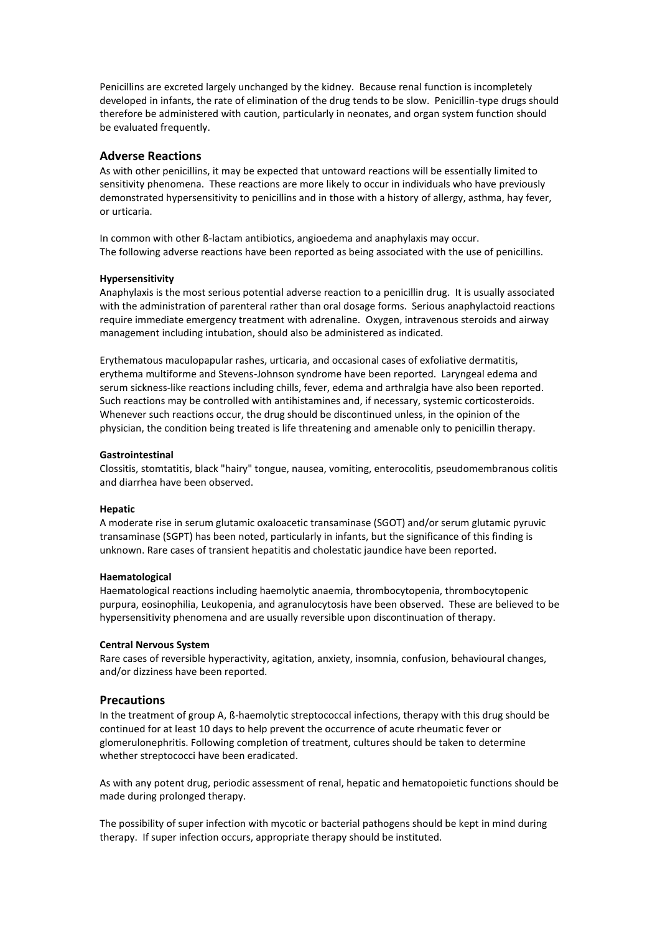Penicillins are excreted largely unchanged by the kidney. Because renal function is incompletely developed in infants, the rate of elimination of the drug tends to be slow. Penicillin-type drugs should therefore be administered with caution, particularly in neonates, and organ system function should be evaluated frequently.

### **Adverse Reactions**

As with other penicillins, it may be expected that untoward reactions will be essentially limited to sensitivity phenomena. These reactions are more likely to occur in individuals who have previously demonstrated hypersensitivity to penicillins and in those with a history of allergy, asthma, hay fever, or urticaria.

In common with other ß-lactam antibiotics, angioedema and anaphylaxis may occur. The following adverse reactions have been reported as being associated with the use of penicillins.

#### **Hypersensitivity**

Anaphylaxis is the most serious potential adverse reaction to a penicillin drug. It is usually associated with the administration of parenteral rather than oral dosage forms. Serious anaphylactoid reactions require immediate emergency treatment with adrenaline. Oxygen, intravenous steroids and airway management including intubation, should also be administered as indicated.

Erythematous maculopapular rashes, urticaria, and occasional cases of exfoliative dermatitis, erythema multiforme and Stevens-Johnson syndrome have been reported. Laryngeal edema and serum sickness-like reactions including chills, fever, edema and arthralgia have also been reported. Such reactions may be controlled with antihistamines and, if necessary, systemic corticosteroids. Whenever such reactions occur, the drug should be discontinued unless, in the opinion of the physician, the condition being treated is life threatening and amenable only to penicillin therapy.

#### **Gastrointestinal**

Clossitis, stomtatitis, black "hairy" tongue, nausea, vomiting, enterocolitis, pseudomembranous colitis and diarrhea have been observed.

#### **Hepatic**

A moderate rise in serum glutamic oxaloacetic transaminase (SGOT) and/or serum glutamic pyruvic transaminase (SGPT) has been noted, particularly in infants, but the significance of this finding is unknown. Rare cases of transient hepatitis and cholestatic jaundice have been reported.

#### **Haematological**

Haematological reactions including haemolytic anaemia, thrombocytopenia, thrombocytopenic purpura, eosinophilia, Leukopenia, and agranulocytosis have been observed. These are believed to be hypersensitivity phenomena and are usually reversible upon discontinuation of therapy.

#### **Central Nervous System**

Rare cases of reversible hyperactivity, agitation, anxiety, insomnia, confusion, behavioural changes, and/or dizziness have been reported.

### **Precautions**

In the treatment of group A, ß-haemolytic streptococcal infections, therapy with this drug should be continued for at least 10 days to help prevent the occurrence of acute rheumatic fever or glomerulonephritis. Following completion of treatment, cultures should be taken to determine whether streptococci have been eradicated.

As with any potent drug, periodic assessment of renal, hepatic and hematopoietic functions should be made during prolonged therapy.

The possibility of super infection with mycotic or bacterial pathogens should be kept in mind during therapy. If super infection occurs, appropriate therapy should be instituted.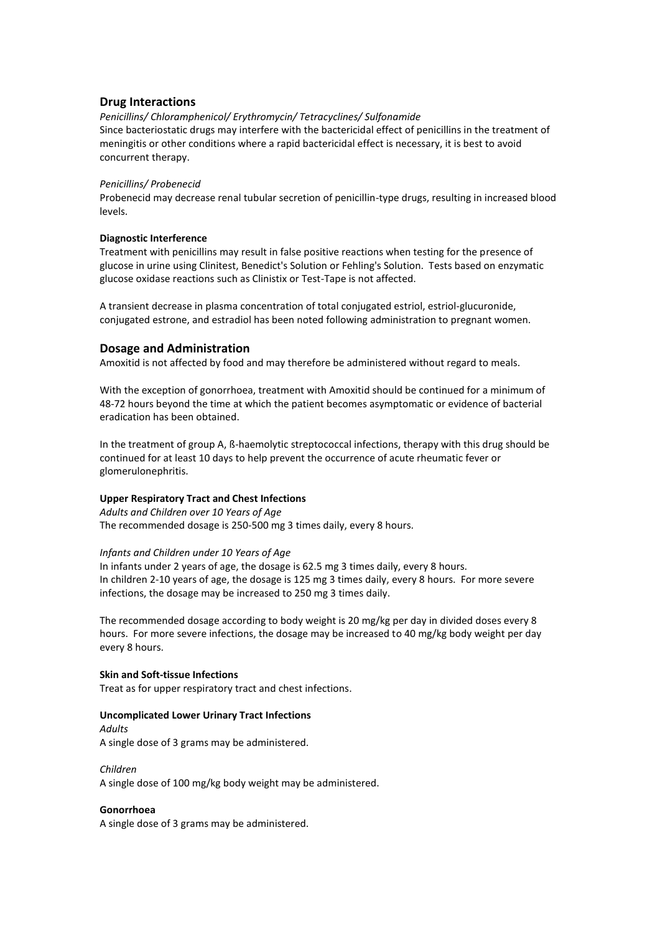# **Drug Interactions**

*Penicillins/ Chloramphenicol/ Erythromycin/ Tetracyclines/ Sulfonamide* Since bacteriostatic drugs may interfere with the bactericidal effect of penicillins in the treatment of meningitis or other conditions where a rapid bactericidal effect is necessary, it is best to avoid concurrent therapy.

### *Penicillins/ Probenecid*

Probenecid may decrease renal tubular secretion of penicillin-type drugs, resulting in increased blood levels.

### **Diagnostic Interference**

Treatment with penicillins may result in false positive reactions when testing for the presence of glucose in urine using Clinitest, Benedict's Solution or Fehling's Solution. Tests based on enzymatic glucose oxidase reactions such as Clinistix or Test-Tape is not affected.

A transient decrease in plasma concentration of total conjugated estriol, estriol-glucuronide, conjugated estrone, and estradiol has been noted following administration to pregnant women.

# **Dosage and Administration**

Amoxitid is not affected by food and may therefore be administered without regard to meals.

With the exception of gonorrhoea, treatment with Amoxitid should be continued for a minimum of 48-72 hours beyond the time at which the patient becomes asymptomatic or evidence of bacterial eradication has been obtained.

In the treatment of group A, ß-haemolytic streptococcal infections, therapy with this drug should be continued for at least 10 days to help prevent the occurrence of acute rheumatic fever or glomerulonephritis.

### **Upper Respiratory Tract and Chest Infections**

*Adults and Children over 10 Years of Age* The recommended dosage is 250-500 mg 3 times daily, every 8 hours.

#### *Infants and Children under 10 Years of Age*

In infants under 2 years of age, the dosage is 62.5 mg 3 times daily, every 8 hours. In children 2-10 years of age, the dosage is 125 mg 3 times daily, every 8 hours. For more severe infections, the dosage may be increased to 250 mg 3 times daily.

The recommended dosage according to body weight is 20 mg/kg per day in divided doses every 8 hours. For more severe infections, the dosage may be increased to 40 mg/kg body weight per day every 8 hours.

### **Skin and Soft-tissue Infections**

Treat as for upper respiratory tract and chest infections.

#### **Uncomplicated Lower Urinary Tract Infections**

*Adults* A single dose of 3 grams may be administered.

*Children* A single dose of 100 mg/kg body weight may be administered.

### **Gonorrhoea**

A single dose of 3 grams may be administered.